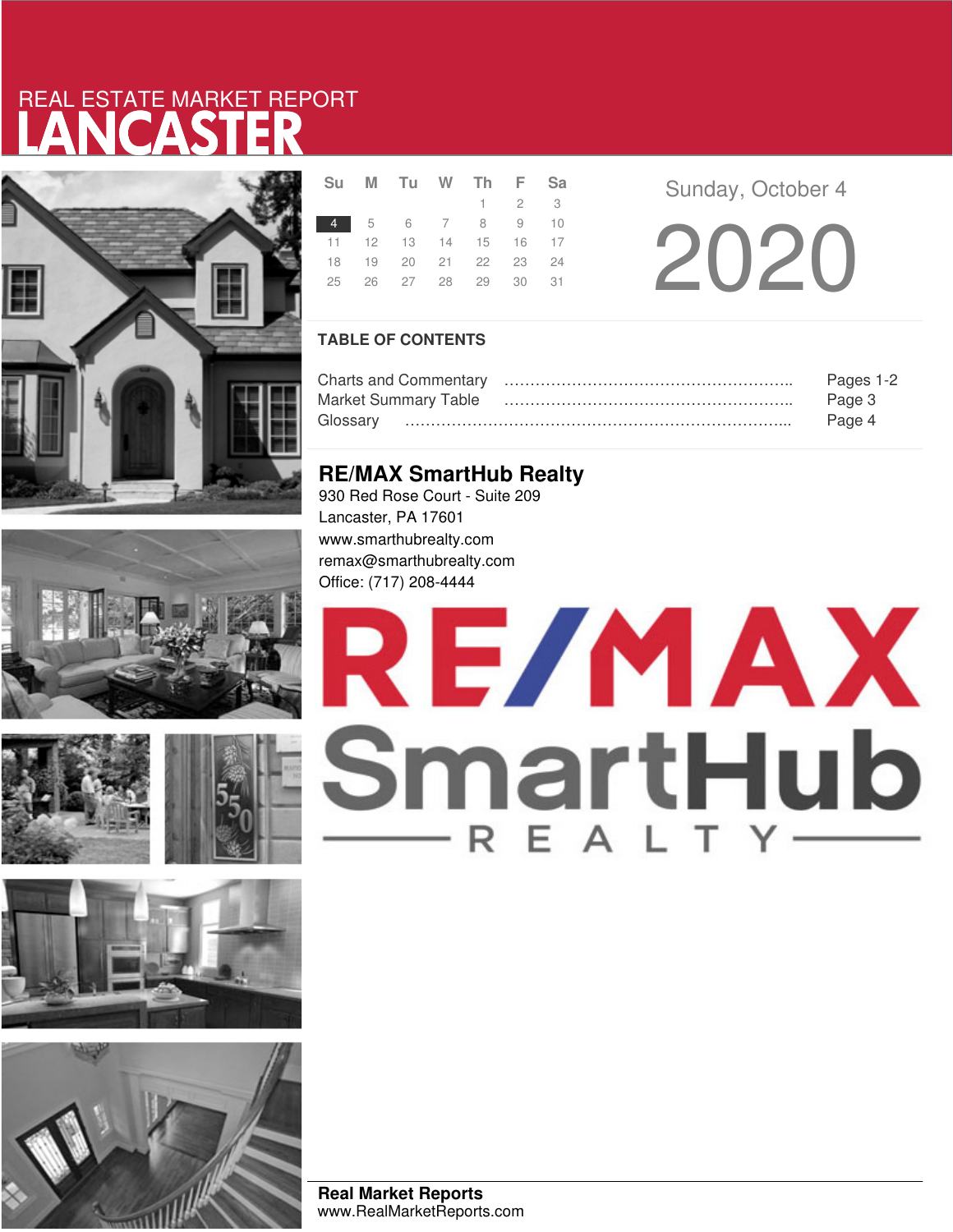# LANCASTER REAL ESTATE MARKET REPORT













|  | Su M Tu W Th F Sa          |  |                     |  |  |
|--|----------------------------|--|---------------------|--|--|
|  |                            |  | $1 \quad 2 \quad 3$ |  |  |
|  | 4 5 6 7 8 9 10             |  |                     |  |  |
|  | 11 12 13 14 15 16 17       |  |                     |  |  |
|  | 18 19 20 21 22 23 24       |  |                     |  |  |
|  | 25  26  27  28  29  30  31 |  |                     |  |  |
|  |                            |  |                     |  |  |

**Sunday, October 4** 

20 20

## **TABLE OF CONTENTS**

|                             | Pages 1-2 |
|-----------------------------|-----------|
| <b>Market Summary Table</b> | Page 3    |
| Glossarv                    | Page 4    |

## **RE/MAX SmartHub Realty**

930 Red Rose Court - Suite 209 Lancaster, PA 17601 www.smarthubrealty.com remax@smarthubrealty.com Office: (717) 208-4444

# RE/MAX SmartHub

**Real Market Reports** www.RealMarketReports.com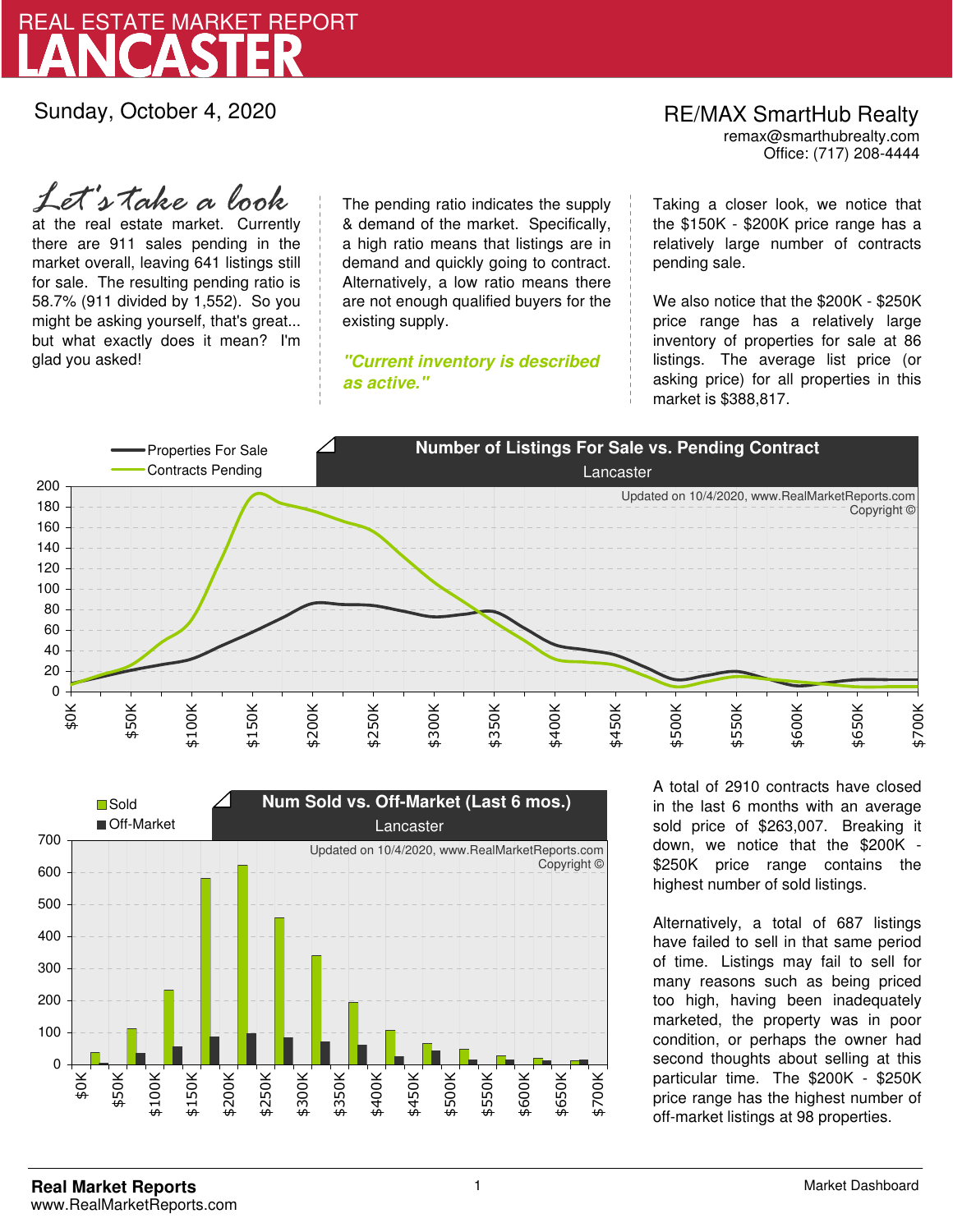

Sunday, October 4, 2020

RE/MAX SmartHub Realty remax@smarthubrealty.com

Office: (717) 208-4444

at the real estate market. Currently there are 911 sales pending in the market overall, leaving 641 listings still for sale. The resulting pending ratio is 58.7% (911 divided by 1,552). So you might be asking yourself, that's great... but what exactly does it mean? I'm glad you asked! *Let's take a look*

The pending ratio indicates the supply & demand of the market. Specifically, a high ratio means that listings are in demand and quickly going to contract. Alternatively, a low ratio means there are not enough qualified buyers for the existing supply.

**"Current inventory is described as active."**

Taking a closer look, we notice that the \$150K - \$200K price range has a relatively large number of contracts pending sale.

We also notice that the \$200K - \$250K price range has a relatively large inventory of properties for sale at 86 listings. The average list price (or asking price) for all properties in this market is \$388,817.





A total of 2910 contracts have closed in the last 6 months with an average sold price of \$263,007. Breaking it down, we notice that the \$200K - \$250K price range contains the highest number of sold listings.

Alternatively, a total of 687 listings have failed to sell in that same period of time. Listings may fail to sell for many reasons such as being priced too high, having been inadequately marketed, the property was in poor condition, or perhaps the owner had second thoughts about selling at this particular time. The \$200K - \$250K price range has the highest number of off-market listings at 98 properties.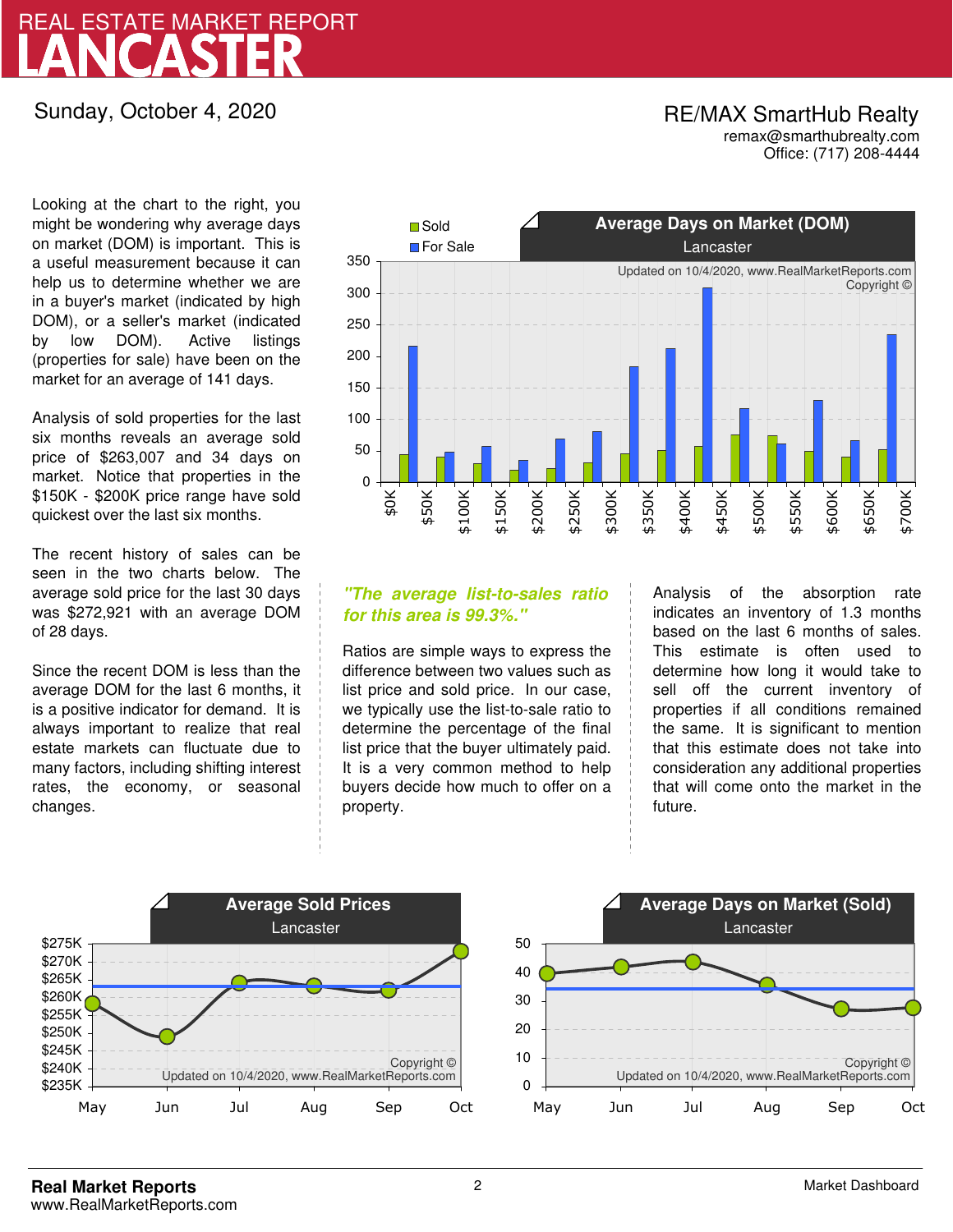# LANCASTER REAL ESTATE MARKET REPORT

## Sunday, October 4, 2020

## RE/MAX SmartHub Realty remax@smarthubrealty.com

Office: (717) 208-4444

Looking at the chart to the right, you might be wondering why average days on market (DOM) is important. This is a useful measurement because it can help us to determine whether we are in a buyer's market (indicated by high DOM), or a seller's market (indicated by low DOM). Active listings (properties for sale) have been on the market for an average of 141 days.

Analysis of sold properties for the last six months reveals an average sold price of \$263,007 and 34 days on market. Notice that properties in the \$150K - \$200K price range have sold quickest over the last six months.

The recent history of sales can be seen in the two charts below. The average sold price for the last 30 days was \$272,921 with an average DOM of 28 days.

Since the recent DOM is less than the average DOM for the last 6 months, it is a positive indicator for demand. It is always important to realize that real estate markets can fluctuate due to many factors, including shifting interest rates, the economy, or seasonal changes.



## **"The average list-to-sales ratio for this area is 99.3%."**

Ratios are simple ways to express the difference between two values such as list price and sold price. In our case, we typically use the list-to-sale ratio to determine the percentage of the final list price that the buyer ultimately paid. It is a very common method to help buyers decide how much to offer on a property.

Analysis of the absorption rate indicates an inventory of 1.3 months based on the last 6 months of sales. This estimate is often used to determine how long it would take to sell off the current inventory of properties if all conditions remained the same. It is significant to mention that this estimate does not take into consideration any additional properties that will come onto the market in the future.

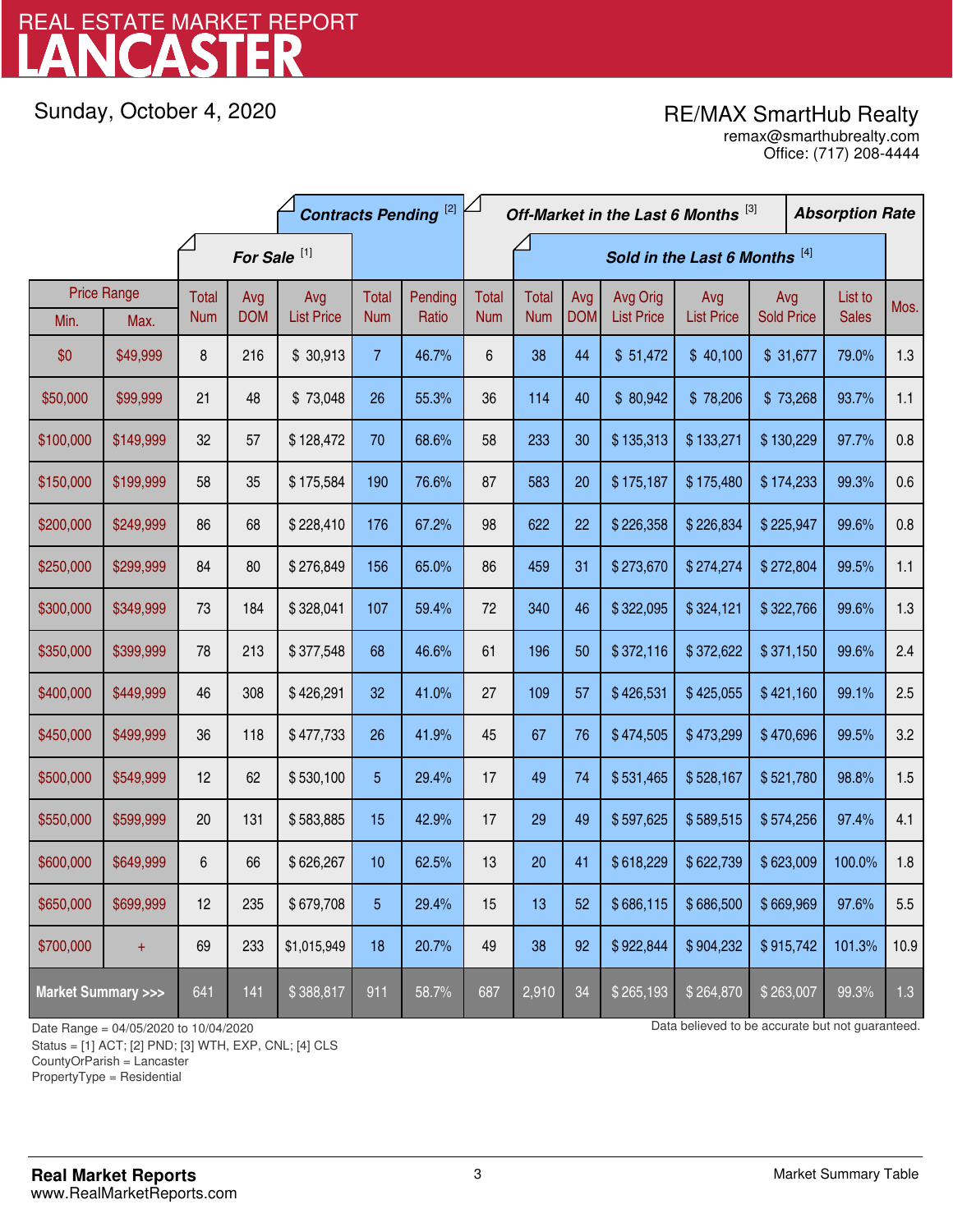# LANCASTER REAL ESTATE MARKET REPORT

Sunday, October 4, 2020

## RE/MAX SmartHub Realty

Office: (717) 208-4444 remax@smarthubrealty.com

|                                    |                    | <b>Contracts Pending [2]</b> |            |                   |                |                               |              | Off-Market in the Last 6 Months [3] |            |                   |                   |                   | <b>Absorption Rate</b> |      |
|------------------------------------|--------------------|------------------------------|------------|-------------------|----------------|-------------------------------|--------------|-------------------------------------|------------|-------------------|-------------------|-------------------|------------------------|------|
|                                    |                    | For Sale <sup>[1]</sup>      |            |                   |                | Sold in the Last 6 Months [4] |              |                                     |            |                   |                   |                   |                        |      |
|                                    | <b>Price Range</b> | Total                        | Avg        | Avg               | Total          | Pending                       | <b>Total</b> | <b>Total</b>                        | Avg        | Avg Orig          | Avg               | Avg               | List to                | Mos. |
| Min.                               | Max.               | <b>Num</b>                   | <b>DOM</b> | <b>List Price</b> | <b>Num</b>     | Ratio                         | <b>Num</b>   | <b>Num</b>                          | <b>DOM</b> | <b>List Price</b> | <b>List Price</b> | <b>Sold Price</b> | <b>Sales</b>           |      |
| \$0                                | \$49,999           | 8                            | 216        | \$30,913          | $\overline{7}$ | 46.7%                         | 6            | 38                                  | 44         | \$51,472          | \$40,100          | \$31,677          | 79.0%                  | 1.3  |
| \$50,000                           | \$99,999           | 21                           | 48         | \$73,048          | 26             | 55.3%                         | 36           | 114                                 | 40         | \$80,942          | \$78,206          | \$73,268          | 93.7%                  | 1.1  |
| \$100,000                          | \$149,999          | 32                           | 57         | \$128,472         | 70             | 68.6%                         | 58           | 233                                 | 30         | \$135,313         | \$133,271         | \$130,229         | 97.7%                  | 0.8  |
| \$150,000                          | \$199,999          | 58                           | 35         | \$175,584         | 190            | 76.6%                         | 87           | 583                                 | 20         | \$175,187         | \$175,480         | \$174,233         | 99.3%                  | 0.6  |
| \$200,000                          | \$249,999          | 86                           | 68         | \$228,410         | 176            | 67.2%                         | 98           | 622                                 | 22         | \$226,358         | \$226,834         | \$225,947         | 99.6%                  | 0.8  |
| \$250,000                          | \$299,999          | 84                           | 80         | \$276,849         | 156            | 65.0%                         | 86           | 459                                 | 31         | \$273,670         | \$274,274         | \$272,804         | 99.5%                  | 1.1  |
| \$300,000                          | \$349,999          | 73                           | 184        | \$328,041         | 107            | 59.4%                         | 72           | 340                                 | 46         | \$322,095         | \$324,121         | \$322,766         | 99.6%                  | 1.3  |
| \$350,000                          | \$399,999          | 78                           | 213        | \$377,548         | 68             | 46.6%                         | 61           | 196                                 | 50         | \$372,116         | \$372,622         | \$371,150         | 99.6%                  | 2.4  |
| \$400,000                          | \$449,999          | 46                           | 308        | \$426,291         | 32             | 41.0%                         | 27           | 109                                 | 57         | \$426,531         | \$425,055         | \$421,160         | 99.1%                  | 2.5  |
| \$450,000                          | \$499,999          | 36                           | 118        | \$477,733         | 26             | 41.9%                         | 45           | 67                                  | 76         | \$474,505         | \$473,299         | \$470,696         | 99.5%                  | 3.2  |
| \$500,000                          | \$549,999          | 12                           | 62         | \$530,100         | 5              | 29.4%                         | 17           | 49                                  | 74         | \$531,465         | \$528,167         | \$521,780         | 98.8%                  | 1.5  |
| \$550,000                          | \$599,999          | 20                           | 131        | \$583,885         | 15             | 42.9%                         | 17           | 29                                  | 49         | \$597,625         | \$589,515         | \$574,256         | 97.4%                  | 4.1  |
| \$600,000                          | \$649,999          | 6                            | 66         | \$626,267         | 10             | 62.5%                         | 13           | 20                                  | 41         | \$618,229         | \$622,739         | \$623,009         | 100.0%                 | 1.8  |
| \$650,000                          | \$699,999          | 12                           | 235        | \$679,708         | 5              | 29.4%                         | 15           | 13                                  | 52         | \$686,115         | \$686,500         | \$669,969         | 97.6%                  | 5.5  |
| \$700,000                          | $+$                | 69                           | 233        | \$1,015,949       | 18             | 20.7%                         | 49           | 38                                  | 92         | \$922,844         | \$904,232         | \$915,742         | 101.3%                 | 10.9 |
| <b>Market Summary &gt;&gt;&gt;</b> |                    | 641                          | 141        | \$388,817         | 911            | 58.7%                         | 687          | 2,910                               | 34         | \$265,193         | \$264,870         | \$263,007         | 99.3%                  | 1.3  |

Status = [1] ACT; [2] PND; [3] WTH, EXP, CNL; [4] CLS

CountyOrParish = Lancaster

PropertyType = Residential

1

Date Range = 04/05/2020 to 10/04/2020 Data believed to be accurate but not guaranteed.